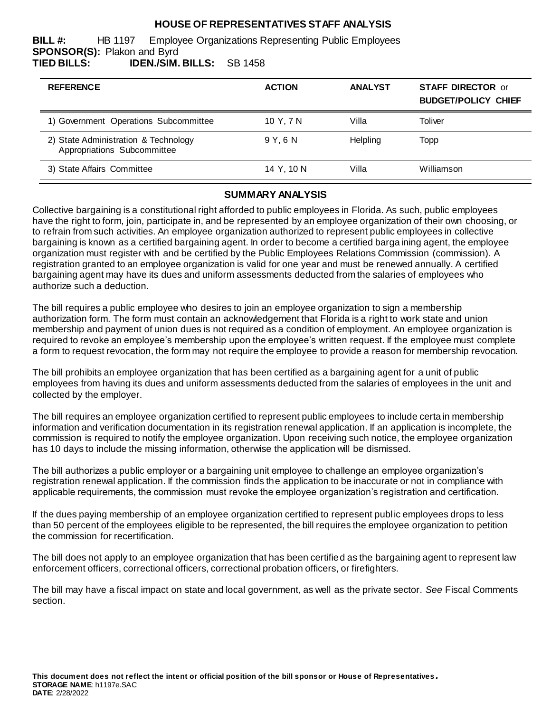# **HOUSE OF REPRESENTATIVES STAFF ANALYSIS**

**BILL #:** HB 1197 Employee Organizations Representing Public Employees **SPONSOR(S):** Plakon and Byrd **TIED BILLS: IDEN./SIM. BILLS:** SB 1458

| <b>REFERENCE</b>                                                    | <b>ACTION</b> | <b>ANALYST</b> | <b>STAFF DIRECTOR or</b><br><b>BUDGET/POLICY CHIEF</b> |
|---------------------------------------------------------------------|---------------|----------------|--------------------------------------------------------|
| 1) Government Operations Subcommittee                               | 10 Y. 7 N     | Villa          | Toliver                                                |
| 2) State Administration & Technology<br>Appropriations Subcommittee | 9Y.6N         | Helpling       | Topp                                                   |
| 3) State Affairs Committee                                          | 14 Y. 10 N    | Villa          | Williamson                                             |

#### **SUMMARY ANALYSIS**

Collective bargaining is a constitutional right afforded to public employees in Florida. As such, public employees have the right to form, join, participate in, and be represented by an employee organization of their own choosing, or to refrain from such activities. An employee organization authorized to represent public employees in collective bargaining is known as a certified bargaining agent. In order to become a certified barga ining agent, the employee organization must register with and be certified by the Public Employees Relations Commission (commission). A registration granted to an employee organization is valid for one year and must be renewed annually. A certified bargaining agent may have its dues and uniform assessments deducted from the salaries of employees who authorize such a deduction.

The bill requires a public employee who desires to join an employee organization to sign a membership authorization form. The form must contain an acknowledgement that Florida is a right to work state and union membership and payment of union dues is not required as a condition of employment. An employee organization is required to revoke an employee's membership upon the employee's written request. If the employee must complete a form to request revocation, the form may not require the employee to provide a reason for membership revocation.

The bill prohibits an employee organization that has been certified as a bargaining agent for a unit of public employees from having its dues and uniform assessments deducted from the salaries of employees in the unit and collected by the employer.

The bill requires an employee organization certified to represent public employees to include certa in membership information and verification documentation in its registration renewal application. If an application is incomplete, the commission is required to notify the employee organization. Upon receiving such notice, the employee organization has 10 days to include the missing information, otherwise the application will be dismissed.

The bill authorizes a public employer or a bargaining unit employee to challenge an employee organization's registration renewal application. If the commission finds the application to be inaccurate or not in compliance with applicable requirements, the commission must revoke the employee organization's registration and certification.

If the dues paying membership of an employee organization certified to represent publ ic employees drops to less than 50 percent of the employees eligible to be represented, the bill requires the employee organization to petition the commission for recertification.

The bill does not apply to an employee organization that has been certified as the bargaining agent to represent law enforcement officers, correctional officers, correctional probation officers, or firefighters.

The bill may have a fiscal impact on state and local government, as well as the private sector. *See* Fiscal Comments section.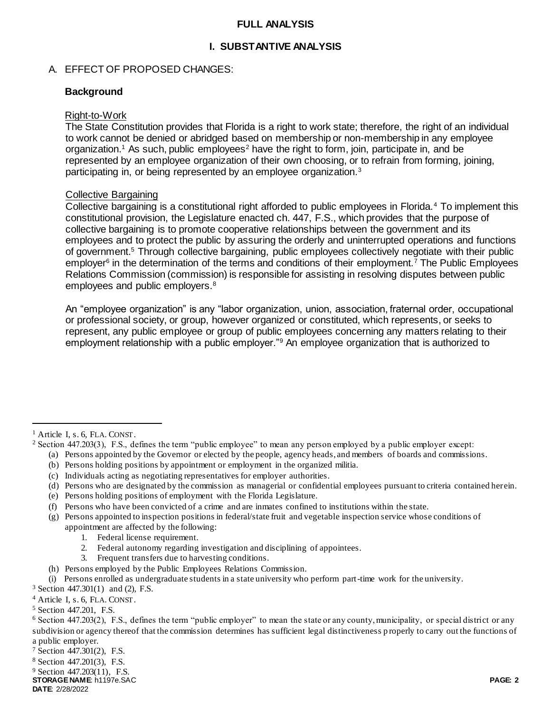### **FULL ANALYSIS**

# **I. SUBSTANTIVE ANALYSIS**

### A. EFFECT OF PROPOSED CHANGES:

### **Background**

#### Right-to-Work

The State Constitution provides that Florida is a right to work state; therefore, the right of an individual to work cannot be denied or abridged based on membership or non-membership in any employee organization.<sup>1</sup> As such, public employees<sup>2</sup> have the right to form, join, participate in, and be represented by an employee organization of their own choosing, or to refrain from forming, joining, participating in, or being represented by an employee organization.<sup>3</sup>

### Collective Bargaining

Collective bargaining is a constitutional right afforded to public employees in Florida.<sup>4</sup> To implement this constitutional provision, the Legislature enacted ch. 447, F.S., which provides that the purpose of collective bargaining is to promote cooperative relationships between the government and its employees and to protect the public by assuring the orderly and uninterrupted operations and functions of government.<sup>5</sup> Through collective bargaining, public employees collectively negotiate with their public employer<sup>6</sup> in the determination of the terms and conditions of their employment.<sup>7</sup> The Public Employees Relations Commission (commission) is responsible for assisting in resolving disputes between public employees and public employers.<sup>8</sup>

An "employee organization" is any "labor organization, union, association, fraternal order, occupational or professional society, or group, however organized or constituted, which represents, or seeks to represent, any public employee or group of public employees concerning any matters relating to their employment relationship with a public employer."<sup>9</sup> An employee organization that is authorized to

 $\overline{a}$ 

- (a) Persons appointed by the Governor or elected by the people, agency heads, and members of boards and commissions.
- (b) Persons holding positions by appointment or employment in the organized militia.
- (c) Individuals acting as negotiating representatives for employer authorities.
- (d) Persons who are designated by the commission as managerial or confidential employees pursuant to criteria contained herein.
- (e) Persons holding positions of employment with the Florida Legislature.
- (f) Persons who have been convicted of a crime and are inmates confined to institutions within the state.
- (g) Persons appointed to inspection positions in federal/state fruit and vegetable inspection service whose conditions of appointment are affected by the following:
	- 1. Federal license requirement.
	- 2. Federal autonomy regarding investigation and disciplining of appointees.
	- 3. Frequent transfers due to harvesting conditions.
- (h) Persons employed by the Public Employees Relations Commission.
- (i) Persons enrolled as undergraduate students in a state university who perform part-time work for the university.

<sup>3</sup> Section 447.301(1) and (2), F.S.

<sup>4</sup> Article I, s. 6, FLA. CONST.

<sup>5</sup> Section 447.201, F.S.

<sup>7</sup> Section 447.301(2), F.S.

<sup>8</sup> Section 447.201(3), F.S.

<sup>9</sup> Section 447.203(11), F.S.

**STORAGE NAME**: h1197e.SAC **PAGE: 2**

**DATE**: 2/28/2022

<sup>&</sup>lt;sup>1</sup> Article I, s. 6, FLA. CONST.

<sup>2</sup> Section 447.203(3), F.S., defines the term "public employee" to mean any person employed by a public employer except:

 $6$  Section 447.203(2), F.S., defines the term "public employer" to mean the state or any county, municipality, or special district or any subdivision or agency thereof that the commission determines has sufficient legal distinctiveness p roperly to carry out the functions of a public employer.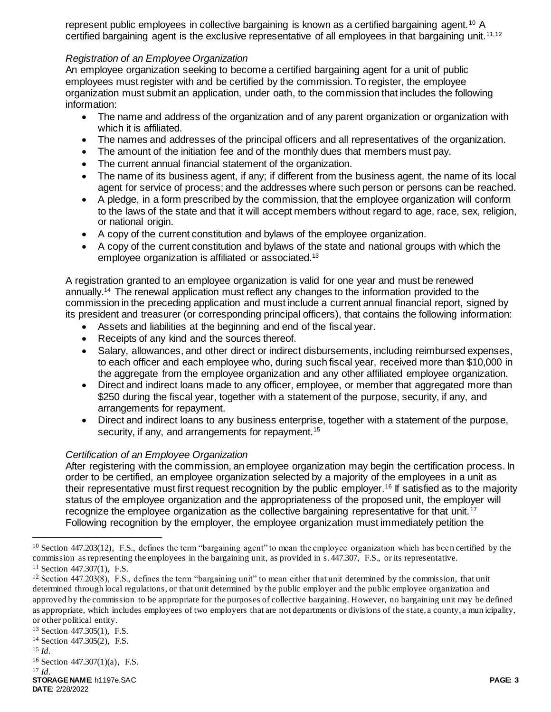represent public employees in collective bargaining is known as a certified bargaining agent.<sup>10</sup> A certified bargaining agent is the exclusive representative of all employees in that bargaining unit.<sup>11,12</sup>

# *Registration of an Employee Organization*

An employee organization seeking to become a certified bargaining agent for a unit of public employees must register with and be certified by the commission. To register, the employee organization must submit an application, under oath, to the commission that includes the following information:

- The name and address of the organization and of any parent organization or organization with which it is affiliated.
- The names and addresses of the principal officers and all representatives of the organization.
- The amount of the initiation fee and of the monthly dues that members must pay.
- The current annual financial statement of the organization.
- The name of its business agent, if any; if different from the business agent, the name of its local agent for service of process; and the addresses where such person or persons can be reached.
- A pledge, in a form prescribed by the commission, that the employee organization will conform to the laws of the state and that it will accept members without regard to age, race, sex, religion, or national origin.
- A copy of the current constitution and bylaws of the employee organization.
- A copy of the current constitution and bylaws of the state and national groups with which the employee organization is affiliated or associated.<sup>13</sup>

A registration granted to an employee organization is valid for one year and must be renewed annually.<sup>14</sup> The renewal application must reflect any changes to the information provided to the commission in the preceding application and must include a current annual financial report, signed by its president and treasurer (or corresponding principal officers), that contains the following information:

- Assets and liabilities at the beginning and end of the fiscal year.
- Receipts of any kind and the sources thereof.
- Salary, allowances, and other direct or indirect disbursements, including reimbursed expenses, to each officer and each employee who, during such fiscal year, received more than \$10,000 in the aggregate from the employee organization and any other affiliated employee organization.
- Direct and indirect loans made to any officer, employee, or member that aggregated more than \$250 during the fiscal year, together with a statement of the purpose, security, if any, and arrangements for repayment.
- Direct and indirect loans to any business enterprise, together with a statement of the purpose, security, if any, and arrangements for repayment.<sup>15</sup>

# *Certification of an Employee Organization*

After registering with the commission, an employee organization may begin the certification process. In order to be certified, an employee organization selected by a majority of the employees in a unit as their representative must first request recognition by the public employer.<sup>16</sup> If satisfied as to the majority status of the employee organization and the appropriateness of the proposed unit, the employer will recognize the employee organization as the collective bargaining representative for that unit.<sup>17</sup> Following recognition by the employer, the employee organization must immediately petition the

<sup>13</sup> Section 447.305(1), F.S.

 $\overline{a}$ 

**STORAGE NAME**: h1197e.SAC **PAGE: 3 DATE**: 2/28/2022 <sup>17</sup> *Id.*

 $10$  Section 447.203(12), F.S., defines the term "bargaining agent" to mean the employee organization which has been certified by the commission as representing the employees in the bargaining unit, as provided in s. 447.307, F.S., or its representative.

<sup>11</sup> Section 447.307(1), F.S.

 $12$  Section 447.203(8), F.S., defines the term "bargaining unit" to mean either that unit determined by the commission, that unit determined through local regulations, or that unit determined by the public employer and the public employee organization and approved by the commission to be appropriate for the purposes of collective bargaining. However, no bargaining unit may be defined as appropriate, which includes employees of two employers that are not departments or divisions of the state, a county, a mun icipality, or other political entity.

<sup>14</sup> Section 447.305(2), F.S.

<sup>15</sup> *Id.* 

<sup>16</sup> Section 447.307(1)(a), F.S.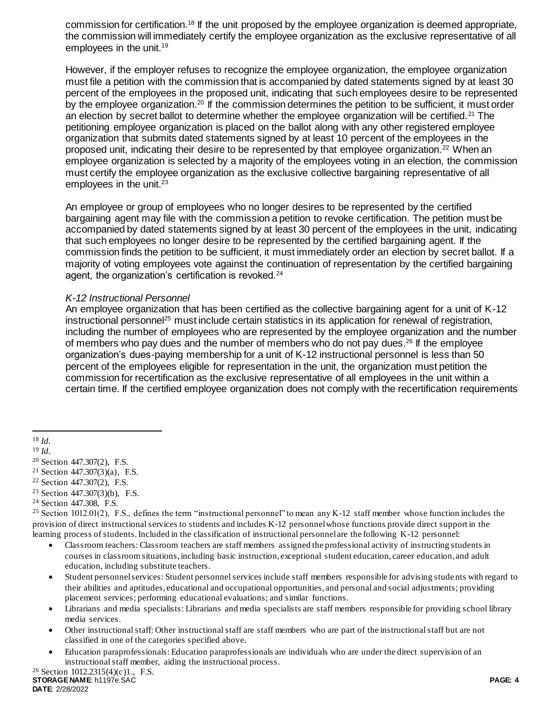commission for certification.<sup>18</sup> If the unit proposed by the employee organization is deemed appropriate, the commission will immediately certify the employee organization as the exclusive representative of all employees in the unit.<sup>19</sup>

However, if the employer refuses to recognize the employee organization, the employee organization must file a petition with the commission that is accompanied by dated statements signed by at least 30 percent of the employees in the proposed unit, indicating that such employees desire to be represented by the employee organization.<sup>20</sup> If the commission determines the petition to be sufficient, it must order an election by secret ballot to determine whether the employee organization will be certified.<sup>21</sup> The petitioning employee organization is placed on the ballot along with any other registered employee organization that submits dated statements signed by at least 10 percent of the employees in the proposed unit, indicating their desire to be represented by that employee organization.<sup>22</sup> When an employee organization is selected by a majority of the employees voting in an election, the commission must certify the employee organization as the exclusive collective bargaining representative of all employees in the unit. $23$ 

An employee or group of employees who no longer desires to be represented by the certified bargaining agent may file with the commission a petition to revoke certification. The petition must be accompanied by dated statements signed by at least 30 percent of the employees in the unit, indicating that such employees no longer desire to be represented by the certified bargaining agent. If the commission finds the petition to be sufficient, it must immediately order an election by secret ballot. If a majority of voting employees vote against the continuation of representation by the certified bargaining agent, the organization's certification is revoked.<sup>24</sup>

### *K-12 Instructional Personnel*

An employee organization that has been certified as the collective bargaining agent for a unit of K-12 instructional personnel<sup>25</sup> must include certain statistics in its application for renewal of registration, including the number of employees who are represented by the employee organization and the number of members who pay dues and the number of members who do not pay dues.<sup>26</sup> If the employee organization's dues-paying membership for a unit of K-12 instructional personnel is less than 50 percent of the employees eligible for representation in the unit, the organization must petition the commission for recertification as the exclusive representative of all employees in the unit within a certain time. If the certified employee organization does not comply with the recertification requirements

 $\overline{a}$ 

- <sup>22</sup> Section 447.307(2), F.S.
- <sup>23</sup> Section 447.307(3)(b), F.S.
- <sup>24</sup> Section 447.308, F.S.

- Classroom teachers: Classroom teachers are staff members assigned the professional activity of instructing students in courses in classroom situations, including basic instruction, exceptional student education, career education, and adult education, including substitute teachers.
- Student personnel services: Student personnel services include staff members responsible for advising stude nts with regard to their abilities and aptitudes, educational and occupational opportunities, and personal and social adjustments; providing placement services; performing educational evaluations; and similar functions.
- Librarians and media specialists: Librarians and media specialists are staff members responsible for providing school library media services.
- Other instructional staff: Other instructional staff are staff members who are part of the instructional staff but are not classified in one of the categories specified above.
- Education paraprofessionals: Education paraprofessionals are individuals who are under the direct supervision of an instructional staff member, aiding the instructional process.

<sup>18</sup> *Id.* 

<sup>19</sup> *Id.* 

<sup>20</sup> Section 447.307(2), F.S.

<sup>&</sup>lt;sup>21</sup> Section 447.307(3)(a), F.S.

<sup>&</sup>lt;sup>25</sup> Section 1012.01(2), F.S., defines the term "instructional personnel" to mean any K-12 staff member whose function includes the provision of direct instructional services to students and includes K-12 personnel whose functions provide direct support in the learning process of students. Included in the classification of instructional personnel are the following K-12 personnel: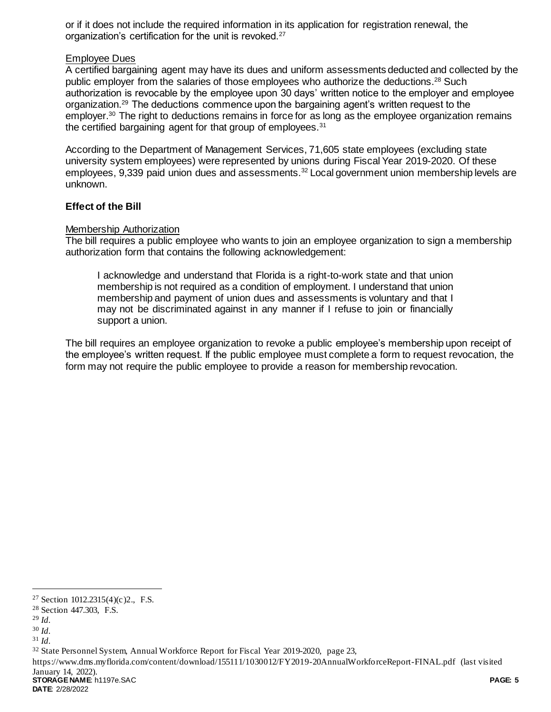or if it does not include the required information in its application for registration renewal, the organization's certification for the unit is revoked.<sup>27</sup>

### Employee Dues

A certified bargaining agent may have its dues and uniform assessments deducted and collected by the public employer from the salaries of those employees who authorize the deductions.<sup>28</sup> Such authorization is revocable by the employee upon 30 days' written notice to the employer and employee organization.<sup>29</sup> The deductions commence upon the bargaining agent's written request to the employer.<sup>30</sup> The right to deductions remains in force for as long as the employee organization remains the certified bargaining agent for that group of employees.<sup>31</sup>

According to the Department of Management Services, 71,605 state employees (excluding state university system employees) were represented by unions during Fiscal Year 2019-2020. Of these employees, 9,339 paid union dues and assessments.<sup>32</sup> Local government union membership levels are unknown.

### **Effect of the Bill**

### Membership Authorization

The bill requires a public employee who wants to join an employee organization to sign a membership authorization form that contains the following acknowledgement:

I acknowledge and understand that Florida is a right-to-work state and that union membership is not required as a condition of employment. I understand that union membership and payment of union dues and assessments is voluntary and that I may not be discriminated against in any manner if I refuse to join or financially support a union.

The bill requires an employee organization to revoke a public employee's membership upon receipt of the employee's written request. If the public employee must complete a form to request revocation, the form may not require the public employee to provide a reason for membership revocation.

l

**STORAGE NAME**: h1197e.SAC **PAGE: 5** https://www.dms.myflorida.com/content/download/155111/1030012/FY2019-20AnnualWorkforceReport-FINAL.pdf (last visited January 14, 2022).

**DATE**: 2/28/2022

<sup>27</sup> Section 1012.2315(4)(c)2., F.S.

<sup>28</sup> Section 447.303, F.S.

<sup>29</sup> *Id.* 

<sup>30</sup> *Id.* 

<sup>31</sup> *Id.* 

<sup>32</sup> State Personnel System, Annual Workforce Report for Fiscal Year 2019-2020, page 23,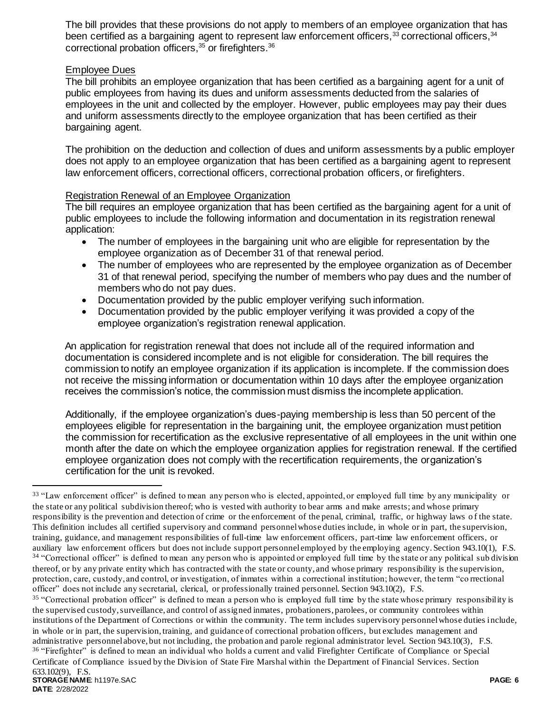The bill provides that these provisions do not apply to members of an employee organization that has been certified as a bargaining agent to represent law enforcement officers,<sup>33</sup> correctional officers,<sup>34</sup> correctional probation officers,<sup>35</sup> or firefighters.<sup>36</sup>

# Employee Dues

The bill prohibits an employee organization that has been certified as a bargaining agent for a unit of public employees from having its dues and uniform assessments deducted from the salaries of employees in the unit and collected by the employer. However, public employees may pay their dues and uniform assessments directly to the employee organization that has been certified as their bargaining agent.

The prohibition on the deduction and collection of dues and uniform assessments by a public employer does not apply to an employee organization that has been certified as a bargaining agent to represent law enforcement officers, correctional officers, correctional probation officers, or firefighters.

# Registration Renewal of an Employee Organization

The bill requires an employee organization that has been certified as the bargaining agent for a unit of public employees to include the following information and documentation in its registration renewal application:

- The number of employees in the bargaining unit who are eligible for representation by the employee organization as of December 31 of that renewal period.
- The number of employees who are represented by the employee organization as of December 31 of that renewal period, specifying the number of members who pay dues and the number of members who do not pay dues.
- Documentation provided by the public employer verifying such information.
- Documentation provided by the public employer verifying it was provided a copy of the employee organization's registration renewal application.

An application for registration renewal that does not include all of the required information and documentation is considered incomplete and is not eligible for consideration. The bill requires the commission to notify an employee organization if its application is incomplete. If the commission does not receive the missing information or documentation within 10 days after the employee organization receives the commission's notice, the commission must dismiss the incomplete application.

Additionally, if the employee organization's dues-paying membership is less than 50 percent of the employees eligible for representation in the bargaining unit, the employee organization must petition the commission for recertification as the exclusive representative of all employees in the unit within one month after the date on which the employee organization applies for registration renewal. If the certified employee organization does not comply with the recertification requirements, the organization's certification for the unit is revoked.

Certificate of Compliance issued by the Division of State Fire Marshal within the Department of Financial Services. Section 633.102(9), F.S.

 $\overline{a}$ 

<sup>&</sup>lt;sup>33</sup> "Law enforcement officer" is defined to mean any person who is elected, appointed, or employed full time by any municipality or the state or any political subdivision thereof; who is vested with authority to bear arms and make arrests; and whose primary responsibility is the prevention and detection of crime or the enforcement of the penal, criminal, traffic, or highway laws o f the state. This definition includes all certified supervisory and command personnel whose duties include, in whole or in part, the supervision, training, guidance, and management responsibilities of full-time law enforcement officers, part-time law enforcement officers, or auxiliary law enforcement officers but does not include support personnel employed by the employing agency. Section 943.10(1), F.S. <sup>34</sup> "Correctional officer" is defined to mean any person who is appointed or employed full time by the state or any political sub division thereof, or by any private entity which has contracted with the state or county, and whose primary responsibility is the supervision, protection, care, custody, and control, or investigation, of inmates within a correctional institution; however, the term "co rrectional officer" does not include any secretarial, clerical, or professionally trained personnel. Section 943.10(2), F.S.

<sup>&</sup>lt;sup>35</sup> "Correctional probation officer" is defined to mean a person who is employed full time by the state whose primary responsibility is the supervised custody, surveillance, and control of assigned inmates, probationers, parolees, or community controlees within institutions of the Department of Corrections or within the community. The term includes supervisory personnel whose duties include, in whole or in part, the supervision, training, and guidance of correctional probation officers, but excludes management and administrative personnel above, but not including, the probation and parole regional administrator level. Section 943.10(3), F.S. <sup>36</sup> "Firefighter" is defined to mean an individual who holds a current and valid Firefighter Certificate of Compliance or Special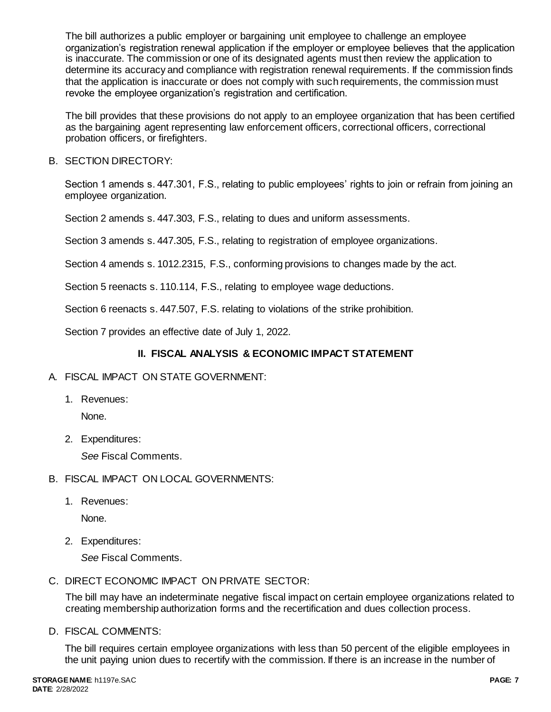The bill authorizes a public employer or bargaining unit employee to challenge an employee organization's registration renewal application if the employer or employee believes that the application is inaccurate. The commission or one of its designated agents must then review the application to determine its accuracy and compliance with registration renewal requirements. If the commission finds that the application is inaccurate or does not comply with such requirements, the commission must revoke the employee organization's registration and certification.

The bill provides that these provisions do not apply to an employee organization that has been certified as the bargaining agent representing law enforcement officers, correctional officers, correctional probation officers, or firefighters.

B. SECTION DIRECTORY:

Section 1 amends s. 447.301, F.S., relating to public employees' rights to join or refrain from joining an employee organization.

Section 2 amends s. 447.303, F.S., relating to dues and uniform assessments.

Section 3 amends s. 447.305, F.S., relating to registration of employee organizations.

Section 4 amends s. 1012.2315, F.S., conforming provisions to changes made by the act.

Section 5 reenacts s. 110.114, F.S., relating to employee wage deductions.

Section 6 reenacts s. 447.507, F.S. relating to violations of the strike prohibition.

Section 7 provides an effective date of July 1, 2022.

# **II. FISCAL ANALYSIS & ECONOMIC IMPACT STATEMENT**

- A. FISCAL IMPACT ON STATE GOVERNMENT:
	- 1. Revenues:

None.

2. Expenditures:

*See* Fiscal Comments.

- B. FISCAL IMPACT ON LOCAL GOVERNMENTS:
	- 1. Revenues:

None.

2. Expenditures:

*See* Fiscal Comments.

C. DIRECT ECONOMIC IMPACT ON PRIVATE SECTOR:

The bill may have an indeterminate negative fiscal impact on certain employee organizations related to creating membership authorization forms and the recertification and dues collection process.

D. FISCAL COMMENTS:

The bill requires certain employee organizations with less than 50 percent of the eligible employees in the unit paying union dues to recertify with the commission. If there is an increase in the number of